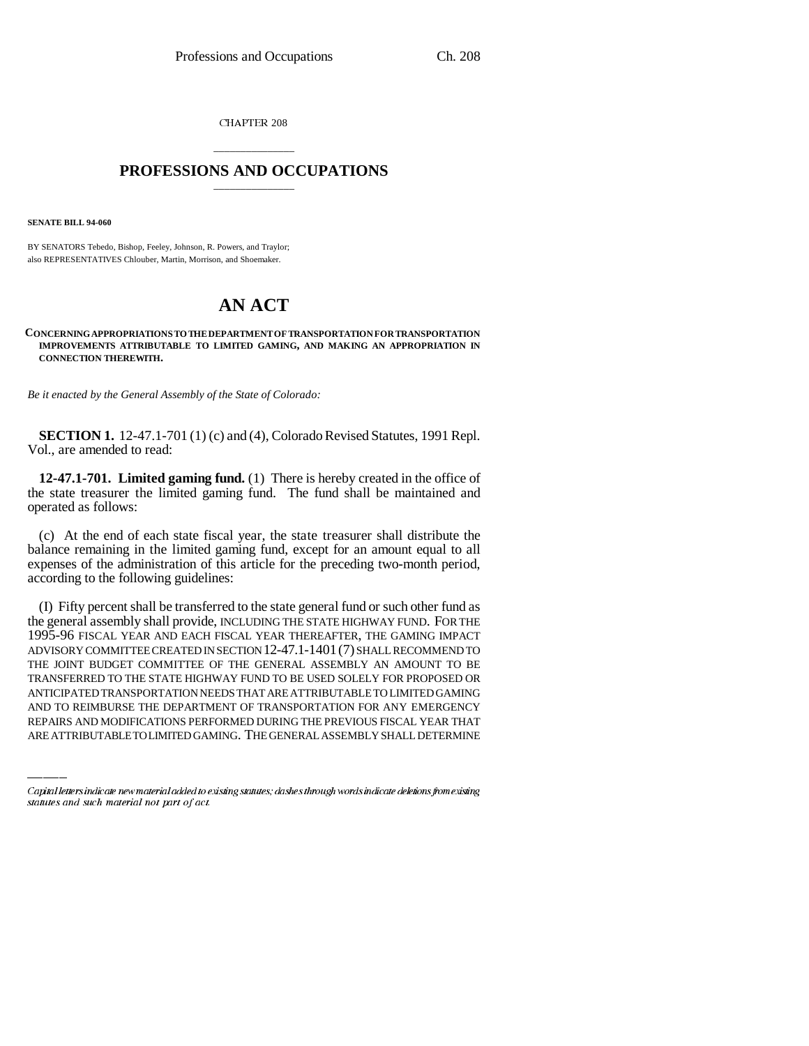CHAPTER 208

## \_\_\_\_\_\_\_\_\_\_\_\_\_\_\_ **PROFESSIONS AND OCCUPATIONS** \_\_\_\_\_\_\_\_\_\_\_\_\_\_\_

**SENATE BILL 94-060**

BY SENATORS Tebedo, Bishop, Feeley, Johnson, R. Powers, and Traylor; also REPRESENTATIVES Chlouber, Martin, Morrison, and Shoemaker.

## **AN ACT**

## **CONCERNING APPROPRIATIONS TO THE DEPARTMENT OF TRANSPORTATION FOR TRANSPORTATION IMPROVEMENTS ATTRIBUTABLE TO LIMITED GAMING, AND MAKING AN APPROPRIATION IN CONNECTION THEREWITH.**

*Be it enacted by the General Assembly of the State of Colorado:*

**SECTION 1.** 12-47.1-701 (1) (c) and (4), Colorado Revised Statutes, 1991 Repl. Vol., are amended to read:

**12-47.1-701. Limited gaming fund.** (1) There is hereby created in the office of the state treasurer the limited gaming fund. The fund shall be maintained and operated as follows:

(c) At the end of each state fiscal year, the state treasurer shall distribute the balance remaining in the limited gaming fund, except for an amount equal to all expenses of the administration of this article for the preceding two-month period, according to the following guidelines:

TRANSFERRED TO THE STATE HIGHWAY FUND TO BE USED SOLELY FOR PROPOSED OR (I) Fifty percent shall be transferred to the state general fund or such other fund as the general assembly shall provide, INCLUDING THE STATE HIGHWAY FUND. FOR THE 1995-96 FISCAL YEAR AND EACH FISCAL YEAR THEREAFTER, THE GAMING IMPACT ADVISORY COMMITTEE CREATED IN SECTION 12-47.1-1401(7) SHALL RECOMMEND TO THE JOINT BUDGET COMMITTEE OF THE GENERAL ASSEMBLY AN AMOUNT TO BE ANTICIPATED TRANSPORTATION NEEDS THAT ARE ATTRIBUTABLE TO LIMITED GAMING AND TO REIMBURSE THE DEPARTMENT OF TRANSPORTATION FOR ANY EMERGENCY REPAIRS AND MODIFICATIONS PERFORMED DURING THE PREVIOUS FISCAL YEAR THAT ARE ATTRIBUTABLE TO LIMITED GAMING. THE GENERAL ASSEMBLY SHALL DETERMINE

Capital letters indicate new material added to existing statutes; dashes through words indicate deletions from existing statutes and such material not part of act.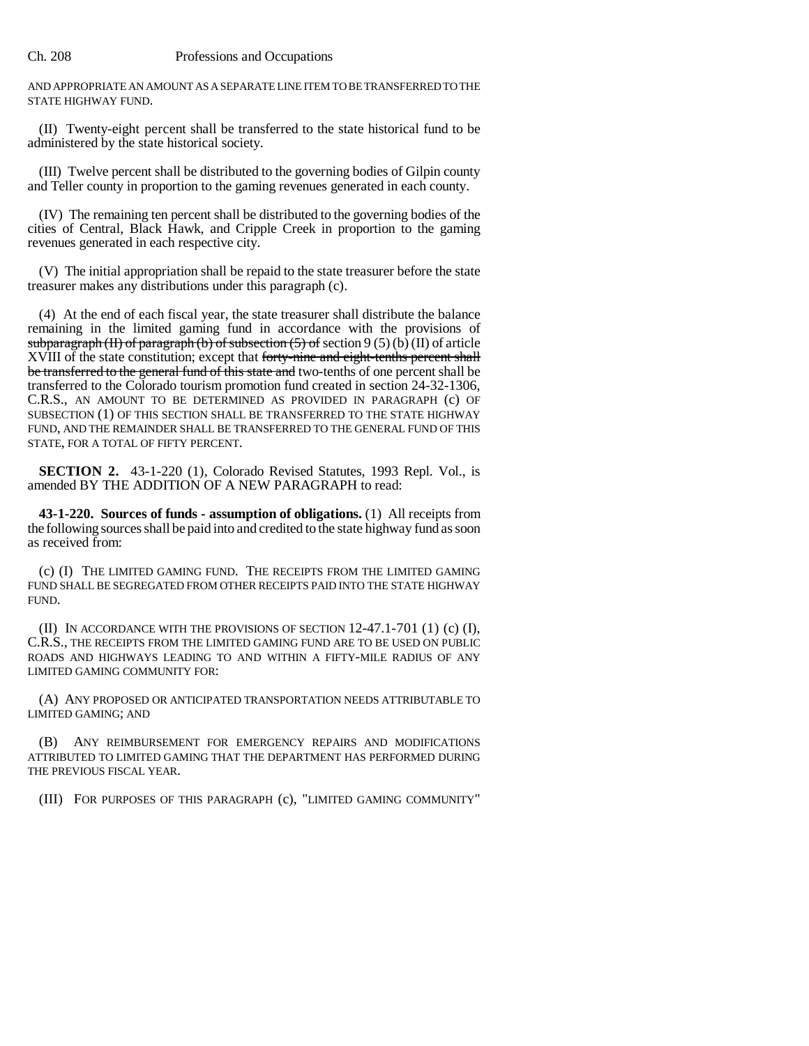AND APPROPRIATE AN AMOUNT AS A SEPARATE LINE ITEM TO BE TRANSFERRED TO THE STATE HIGHWAY FUND.

(II) Twenty-eight percent shall be transferred to the state historical fund to be administered by the state historical society.

(III) Twelve percent shall be distributed to the governing bodies of Gilpin county and Teller county in proportion to the gaming revenues generated in each county.

(IV) The remaining ten percent shall be distributed to the governing bodies of the cities of Central, Black Hawk, and Cripple Creek in proportion to the gaming revenues generated in each respective city.

(V) The initial appropriation shall be repaid to the state treasurer before the state treasurer makes any distributions under this paragraph (c).

(4) At the end of each fiscal year, the state treasurer shall distribute the balance remaining in the limited gaming fund in accordance with the provisions of subparagraph (II) of paragraph (b) of subsection  $(5)$  of section 9  $(5)$  (b)  $(II)$  of article XVIII of the state constitution; except that forty-nine and eight-tenths percent shall be transferred to the general fund of this state and two-tenths of one percent shall be transferred to the Colorado tourism promotion fund created in section 24-32-1306, C.R.S., AN AMOUNT TO BE DETERMINED AS PROVIDED IN PARAGRAPH (c) OF SUBSECTION (1) OF THIS SECTION SHALL BE TRANSFERRED TO THE STATE HIGHWAY FUND, AND THE REMAINDER SHALL BE TRANSFERRED TO THE GENERAL FUND OF THIS STATE, FOR A TOTAL OF FIFTY PERCENT.

**SECTION 2.** 43-1-220 (1), Colorado Revised Statutes, 1993 Repl. Vol., is amended BY THE ADDITION OF A NEW PARAGRAPH to read:

**43-1-220. Sources of funds - assumption of obligations.** (1) All receipts from the following sources shall be paid into and credited to the state highway fund as soon as received from:

(c) (I) THE LIMITED GAMING FUND. THE RECEIPTS FROM THE LIMITED GAMING FUND SHALL BE SEGREGATED FROM OTHER RECEIPTS PAID INTO THE STATE HIGHWAY FUND.

(II) IN ACCORDANCE WITH THE PROVISIONS OF SECTION  $12-47.1-701$  (1) (c) (I), C.R.S., THE RECEIPTS FROM THE LIMITED GAMING FUND ARE TO BE USED ON PUBLIC ROADS AND HIGHWAYS LEADING TO AND WITHIN A FIFTY-MILE RADIUS OF ANY LIMITED GAMING COMMUNITY FOR:

(A) ANY PROPOSED OR ANTICIPATED TRANSPORTATION NEEDS ATTRIBUTABLE TO LIMITED GAMING; AND

(B) ANY REIMBURSEMENT FOR EMERGENCY REPAIRS AND MODIFICATIONS ATTRIBUTED TO LIMITED GAMING THAT THE DEPARTMENT HAS PERFORMED DURING THE PREVIOUS FISCAL YEAR.

(III) FOR PURPOSES OF THIS PARAGRAPH (c), "LIMITED GAMING COMMUNITY"